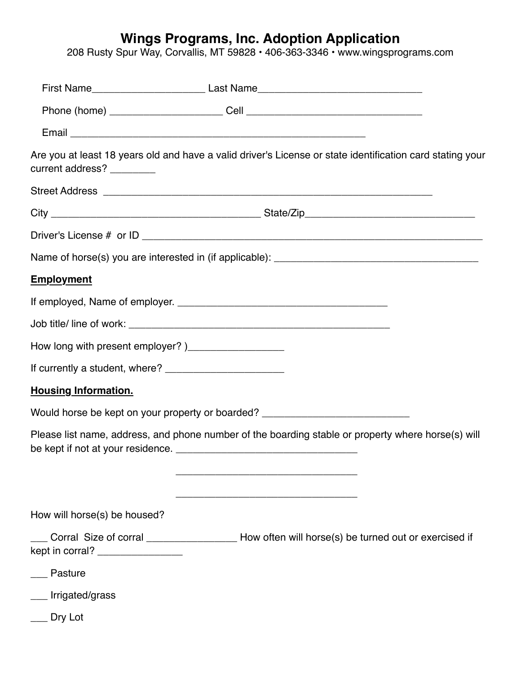## **Wings Programs, Inc. Adoption Application**

208 Rusty Spur Way, Corvallis, MT 59828 • 406-363-3346 • www.wingsprograms.com

|                                                      | First Name________________________________Last Name_____________________________                          |  |  |  |  |  |  |  |
|------------------------------------------------------|-----------------------------------------------------------------------------------------------------------|--|--|--|--|--|--|--|
|                                                      |                                                                                                           |  |  |  |  |  |  |  |
|                                                      |                                                                                                           |  |  |  |  |  |  |  |
| current address? ________                            | Are you at least 18 years old and have a valid driver's License or state identification card stating your |  |  |  |  |  |  |  |
|                                                      |                                                                                                           |  |  |  |  |  |  |  |
|                                                      |                                                                                                           |  |  |  |  |  |  |  |
|                                                      |                                                                                                           |  |  |  |  |  |  |  |
|                                                      |                                                                                                           |  |  |  |  |  |  |  |
| <b>Employment</b>                                    |                                                                                                           |  |  |  |  |  |  |  |
|                                                      |                                                                                                           |  |  |  |  |  |  |  |
|                                                      |                                                                                                           |  |  |  |  |  |  |  |
| How long with present employer?)____________________ |                                                                                                           |  |  |  |  |  |  |  |
|                                                      |                                                                                                           |  |  |  |  |  |  |  |
| <b>Housing Information.</b>                          |                                                                                                           |  |  |  |  |  |  |  |
|                                                      | Would horse be kept on your property or boarded? _______________________________                          |  |  |  |  |  |  |  |
|                                                      | Please list name, address, and phone number of the boarding stable or property where horse(s) will        |  |  |  |  |  |  |  |
|                                                      |                                                                                                           |  |  |  |  |  |  |  |
| How will horse(s) be housed?                         |                                                                                                           |  |  |  |  |  |  |  |
| kept in corral? __________________                   | Corral Size of corral _______________________ How often will horse(s) be turned out or exercised if       |  |  |  |  |  |  |  |
| Pasture                                              |                                                                                                           |  |  |  |  |  |  |  |
| Irrigated/grass                                      |                                                                                                           |  |  |  |  |  |  |  |
| Dry Lot                                              |                                                                                                           |  |  |  |  |  |  |  |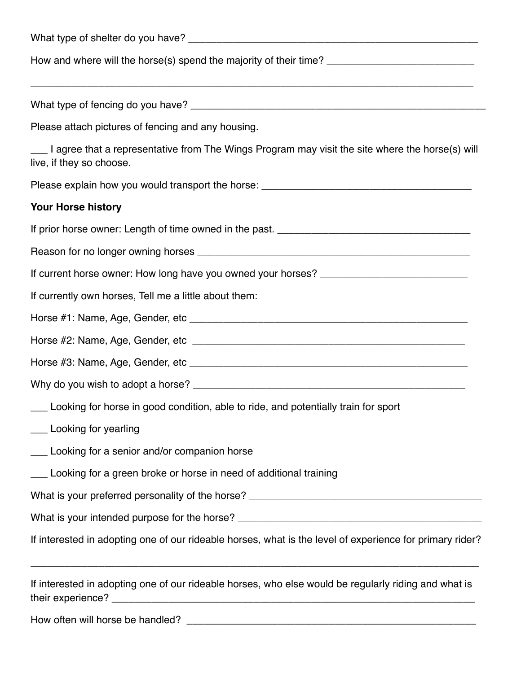| Please attach pictures of fencing and any housing.                                                                          |  |  |  |  |  |  |  |
|-----------------------------------------------------------------------------------------------------------------------------|--|--|--|--|--|--|--|
| I agree that a representative from The Wings Program may visit the site where the horse(s) will<br>live, if they so choose. |  |  |  |  |  |  |  |
| Please explain how you would transport the horse: _______________________________                                           |  |  |  |  |  |  |  |
| <b>Your Horse history</b>                                                                                                   |  |  |  |  |  |  |  |
|                                                                                                                             |  |  |  |  |  |  |  |
|                                                                                                                             |  |  |  |  |  |  |  |
|                                                                                                                             |  |  |  |  |  |  |  |
| If currently own horses, Tell me a little about them:                                                                       |  |  |  |  |  |  |  |
|                                                                                                                             |  |  |  |  |  |  |  |
|                                                                                                                             |  |  |  |  |  |  |  |
|                                                                                                                             |  |  |  |  |  |  |  |
|                                                                                                                             |  |  |  |  |  |  |  |
| Looking for horse in good condition, able to ride, and potentially train for sport                                          |  |  |  |  |  |  |  |
| ___ Looking for yearling                                                                                                    |  |  |  |  |  |  |  |
| ___ Looking for a senior and/or companion horse                                                                             |  |  |  |  |  |  |  |
| Looking for a green broke or horse in need of additional training                                                           |  |  |  |  |  |  |  |
|                                                                                                                             |  |  |  |  |  |  |  |
|                                                                                                                             |  |  |  |  |  |  |  |
| If interested in adopting one of our rideable horses, what is the level of experience for primary rider?                    |  |  |  |  |  |  |  |
| If interested in adopting one of our rideable horses, who else would be regularly riding and what is                        |  |  |  |  |  |  |  |
|                                                                                                                             |  |  |  |  |  |  |  |